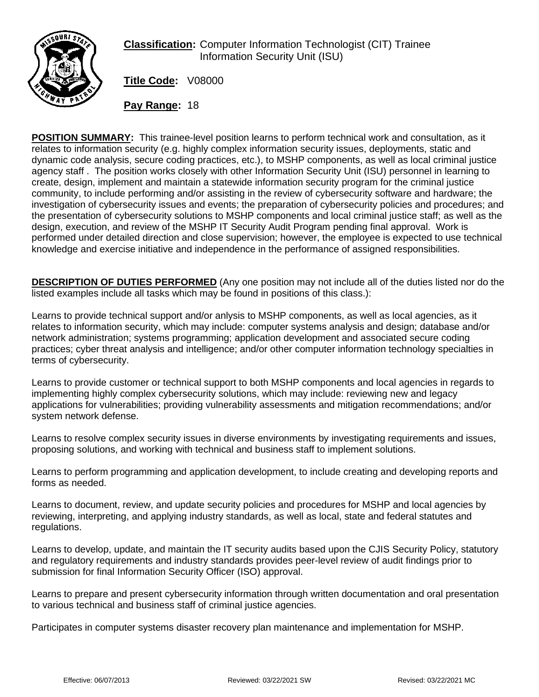

## **Classification:** Computer Information Technologist (CIT) Trainee Information Security Unit (ISU)

**Title Code:** V08000

**Pay Range:** 18

**POSITION SUMMARY:** This trainee-level position learns to perform technical work and consultation, as it relates to information security (e.g. highly complex information security issues, deployments, static and dynamic code analysis, secure coding practices, etc.), to MSHP components, as well as local criminal justice agency staff . The position works closely with other Information Security Unit (ISU) personnel in learning to create, design, implement and maintain a statewide information security program for the criminal justice community, to include performing and/or assisting in the review of cybersecurity software and hardware; the investigation of cybersecurity issues and events; the preparation of cybersecurity policies and procedures; and the presentation of cybersecurity solutions to MSHP components and local criminal justice staff; as well as the design, execution, and review of the MSHP IT Security Audit Program pending final approval. Work is performed under detailed direction and close supervision; however, the employee is expected to use technical knowledge and exercise initiative and independence in the performance of assigned responsibilities.

**DESCRIPTION OF DUTIES PERFORMED** (Any one position may not include all of the duties listed nor do the listed examples include all tasks which may be found in positions of this class.):

Learns to provide technical support and/or anlysis to MSHP components, as well as local agencies, as it relates to information security, which may include: computer systems analysis and design; database and/or network administration; systems programming; application development and associated secure coding practices; cyber threat analysis and intelligence; and/or other computer information technology specialties in terms of cybersecurity.

Learns to provide customer or technical support to both MSHP components and local agencies in regards to implementing highly complex cybersecurity solutions, which may include: reviewing new and legacy applications for vulnerabilities; providing vulnerability assessments and mitigation recommendations; and/or system network defense.

Learns to resolve complex security issues in diverse environments by investigating requirements and issues, proposing solutions, and working with technical and business staff to implement solutions.

Learns to perform programming and application development, to include creating and developing reports and forms as needed.

Learns to document, review, and update security policies and procedures for MSHP and local agencies by reviewing, interpreting, and applying industry standards, as well as local, state and federal statutes and regulations.

Learns to develop, update, and maintain the IT security audits based upon the CJIS Security Policy, statutory and regulatory requirements and industry standards provides peer-level review of audit findings prior to submission for final Information Security Officer (ISO) approval.

Learns to prepare and present cybersecurity information through written documentation and oral presentation to various technical and business staff of criminal justice agencies.

Participates in computer systems disaster recovery plan maintenance and implementation for MSHP.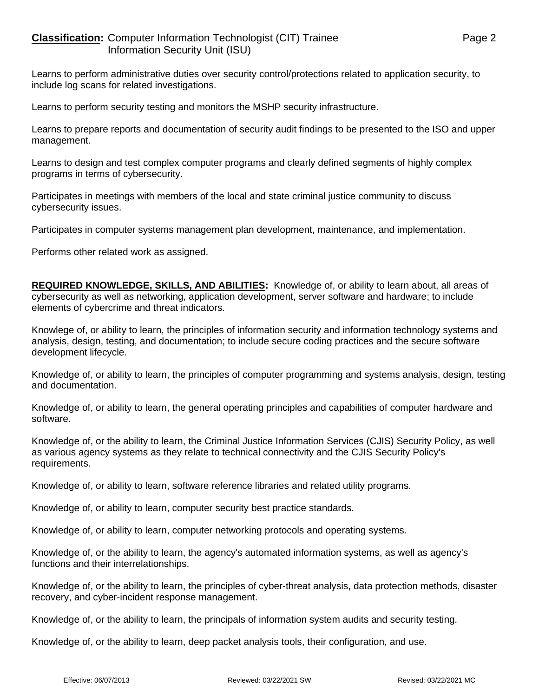## **Classification:** Computer Information Technologist (CIT) Trainee Page 2 Information Security Unit (ISU)

Learns to perform administrative duties over security control/protections related to application security, to include log scans for related investigations.

Learns to perform security testing and monitors the MSHP security infrastructure.

Learns to prepare reports and documentation of security audit findings to be presented to the ISO and upper management.

Learns to design and test complex computer programs and clearly defined segments of highly complex programs in terms of cybersecurity.

Participates in meetings with members of the local and state criminal justice community to discuss cybersecurity issues.

Participates in computer systems management plan development, maintenance, and implementation.

Performs other related work as assigned.

**REQUIRED KNOWLEDGE, SKILLS, AND ABILITIES:** Knowledge of, or ability to learn about, all areas of cybersecurity as well as networking, application development, server software and hardware; to include elements of cybercrime and threat indicators.

Knowlege of, or ability to learn, the principles of information security and information technology systems and analysis, design, testing, and documentation; to include secure coding practices and the secure software development lifecycle.

Knowledge of, or ability to learn, the principles of computer programming and systems analysis, design, testing and documentation.

Knowledge of, or ability to learn, the general operating principles and capabilities of computer hardware and software.

Knowledge of, or the ability to learn, the Criminal Justice Information Services (CJIS) Security Policy, as well as various agency systems as they relate to technical connectivity and the CJIS Security Policy's requirements.

Knowledge of, or ability to learn, software reference libraries and related utility programs.

Knowledge of, or ability to learn, computer security best practice standards.

Knowledge of, or ability to learn, computer networking protocols and operating systems.

Knowledge of, or the ability to learn, the agency's automated information systems, as well as agency's functions and their interrelationships.

Knowledge of, or the ability to learn, the principles of cyber-threat analysis, data protection methods, disaster recovery, and cyber-incident response management.

Knowledge of, or the ability to learn, the principals of information system audits and security testing.

Knowledge of, or the ability to learn, deep packet analysis tools, their configuration, and use.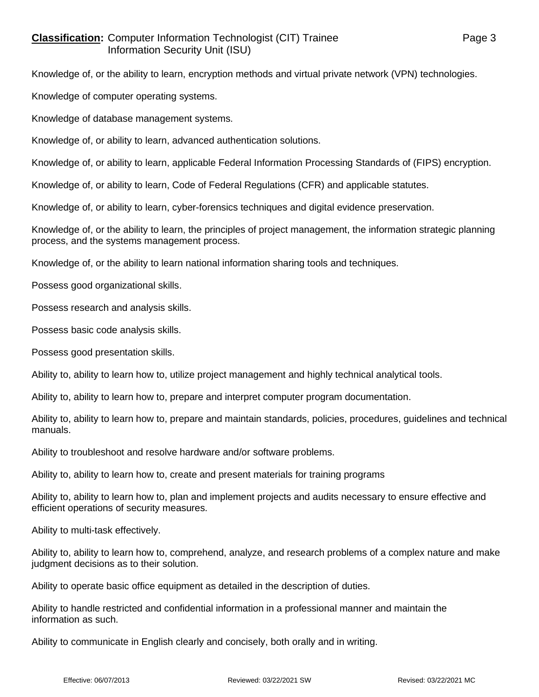## **Classification:** Computer Information Technologist (CIT) Trainee Page 3 Information Security Unit (ISU)

Knowledge of, or the ability to learn, encryption methods and virtual private network (VPN) technologies.

Knowledge of computer operating systems.

Knowledge of database management systems.

Knowledge of, or ability to learn, advanced authentication solutions.

Knowledge of, or ability to learn, applicable Federal Information Processing Standards of (FIPS) encryption.

Knowledge of, or ability to learn, Code of Federal Regulations (CFR) and applicable statutes.

Knowledge of, or ability to learn, cyber-forensics techniques and digital evidence preservation.

Knowledge of, or the ability to learn, the principles of project management, the information strategic planning process, and the systems management process.

Knowledge of, or the ability to learn national information sharing tools and techniques.

Possess good organizational skills.

Possess research and analysis skills.

Possess basic code analysis skills.

Possess good presentation skills.

Ability to, ability to learn how to, utilize project management and highly technical analytical tools.

Ability to, ability to learn how to, prepare and interpret computer program documentation.

Ability to, ability to learn how to, prepare and maintain standards, policies, procedures, guidelines and technical manuals.

Ability to troubleshoot and resolve hardware and/or software problems.

Ability to, ability to learn how to, create and present materials for training programs

Ability to, ability to learn how to, plan and implement projects and audits necessary to ensure effective and efficient operations of security measures.

Ability to multi-task effectively.

Ability to, ability to learn how to, comprehend, analyze, and research problems of a complex nature and make judgment decisions as to their solution.

Ability to operate basic office equipment as detailed in the description of duties.

Ability to handle restricted and confidential information in a professional manner and maintain the information as such.

Ability to communicate in English clearly and concisely, both orally and in writing.